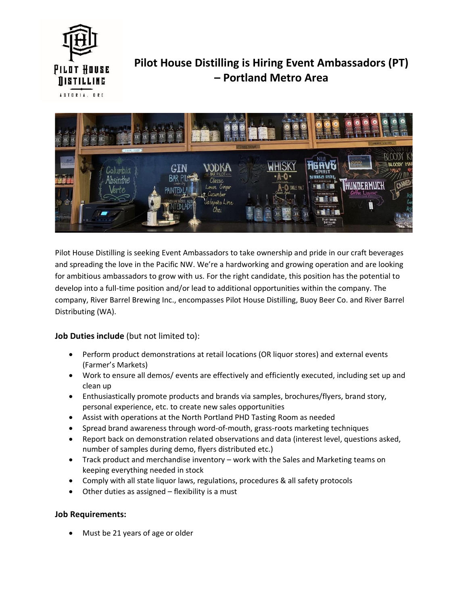

## **Pilot House Distilling is Hiring Event Ambassadors (PT) – Portland Metro Area**

**ASTORIA. ORE** 



Pilot House Distilling is seeking Event Ambassadors to take ownership and pride in our craft beverages and spreading the love in the Pacific NW. We're a hardworking and growing operation and are looking for ambitious ambassadors to grow with us. For the right candidate, this position has the potential to develop into a full-time position and/or lead to additional opportunities within the company. The company, River Barrel Brewing Inc., encompasses Pilot House Distilling, Buoy Beer Co. and River Barrel Distributing (WA).

## **Job Duties include** (but not limited to):

- Perform product demonstrations at retail locations (OR liquor stores) and external events (Farmer's Markets)
- Work to ensure all demos/ events are effectively and efficiently executed, including set up and clean up
- Enthusiastically promote products and brands via samples, brochures/flyers, brand story, personal experience, etc. to create new sales opportunities
- Assist with operations at the North Portland PHD Tasting Room as needed
- Spread brand awareness through word-of-mouth, grass-roots marketing techniques
- Report back on demonstration related observations and data (interest level, questions asked, number of samples during demo, flyers distributed etc.)
- Track product and merchandise inventory work with the Sales and Marketing teams on keeping everything needed in stock
- Comply with all state liquor laws, regulations, procedures & all safety protocols
- Other duties as assigned  $-$  flexibility is a must

## **Job Requirements:**

Must be 21 years of age or older